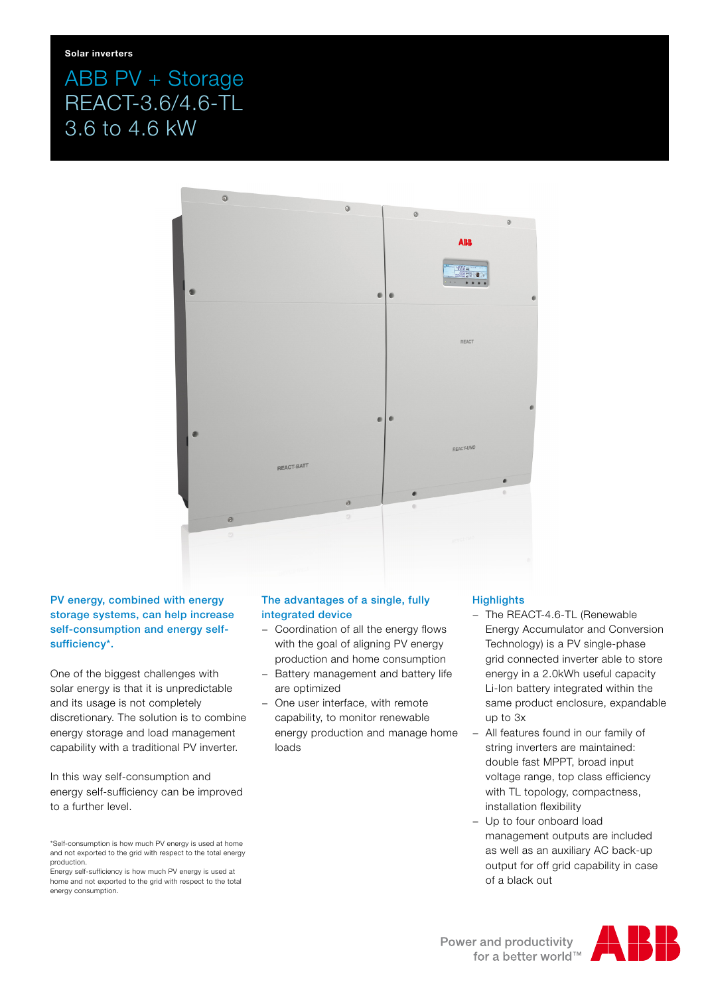## ABB PV + Storage REACT-3.6/4.6-TL 3.6 to 4.6 kW



PV energy, combined with energy storage systems, can help increase self-consumption and energy selfsufficiency\*.

One of the biggest challenges with solar energy is that it is unpredictable and its usage is not completely discretionary. The solution is to combine energy storage and load management capability with a traditional PV inverter.

In this way self-consumption and energy self-sufficiency can be improved to a further level.

Energy self-sufficiency is how much PV energy is used at home and not exported to the grid with respect to the total energy consumption.

## The advantages of a single, fully integrated device

- − Coordination of all the energy flows with the goal of aligning PV energy production and home consumption
- − Battery management and battery life are optimized
- One user interface, with remote capability, to monitor renewable energy production and manage home loads

## **Highlights**

- − The REACT-4.6-TL (Renewable Energy Accumulator and Conversion Technology) is a PV single-phase grid connected inverter able to store energy in a 2.0kWh useful capacity Li-Ion battery integrated within the same product enclosure, expandable up to 3x
- − All features found in our family of string inverters are maintained: double fast MPPT, broad input voltage range, top class efficiency with TL topology, compactness, installation flexibility
- Up to four onboard load management outputs are included as well as an auxiliary AC back-up output for off grid capability in case of a black out



<sup>\*</sup>Self-consumption is how much PV energy is used at home and not exported to the grid with respect to the total energy production.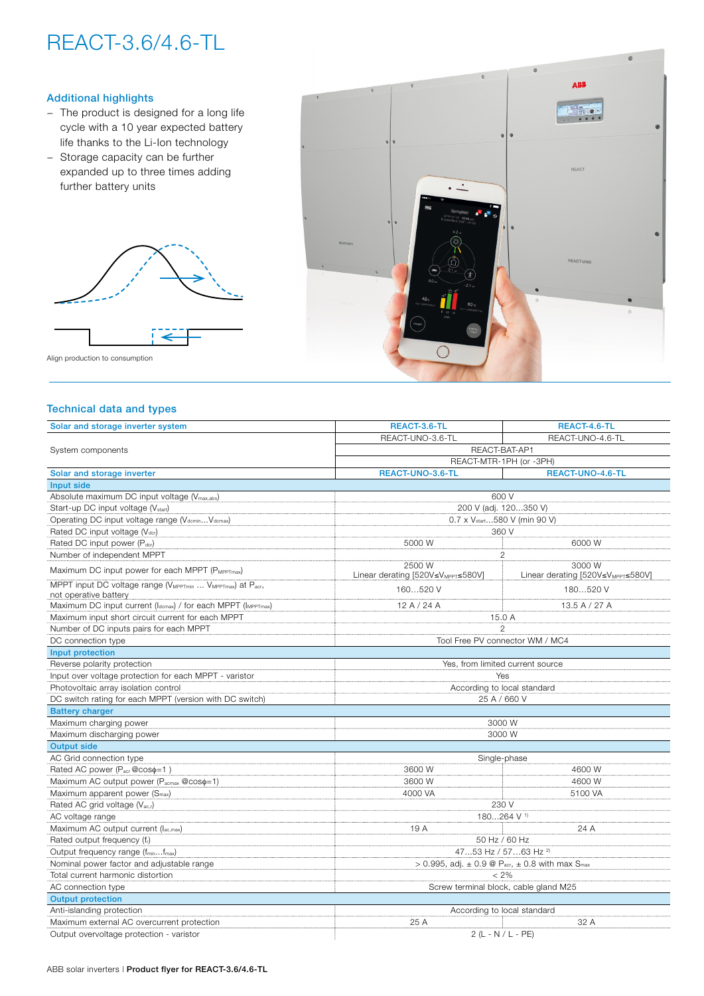# REACT-3.6/4.6-TL

## Additional highlights

- − The product is designed for a long life cycle with a 10 year expected battery life thanks to the Li-Ion technology
- − Storage capacity can be further expanded up to three times adding further battery units



Align production to consumption

## Technical data and types

| Solar and storage inverter system                                                  | REACT-3.6-TL                                                                     | REACT-4.6-TL                                             |  |
|------------------------------------------------------------------------------------|----------------------------------------------------------------------------------|----------------------------------------------------------|--|
| System components                                                                  | REACT-UNO-3.6-TL                                                                 | REACT-UNO-4.6-TL                                         |  |
|                                                                                    | REACT-BAT-AP1                                                                    |                                                          |  |
|                                                                                    | REACT-MTR-1PH (or -3PH)                                                          |                                                          |  |
| Solar and storage inverter                                                         | REACT-UNO-3.6-TL                                                                 | REACT-UNO-4.6-TL                                         |  |
| Input side                                                                         |                                                                                  |                                                          |  |
| Absolute maximum DC input voltage (V <sub>max,abs</sub> )                          | 600 V                                                                            |                                                          |  |
| Start-up DC input voltage (V <sub>start</sub> )                                    | 200 V (adj. 120350 V)                                                            |                                                          |  |
| Operating DC input voltage range (VdcminVdcmax)                                    | 0.7 x V <sub>start</sub> 580 V (min 90 V)                                        |                                                          |  |
| Rated DC input voltage (Vdcr)                                                      | 360 V                                                                            |                                                          |  |
| Rated DC input power (Pdcr)                                                        | 5000 W                                                                           | 6000 W                                                   |  |
| Number of independent MPPT                                                         |                                                                                  | $\overline{c}$                                           |  |
| Maximum DC input power for each MPPT (PMPPTmax)                                    | 2500 W<br>Linear derating [520V≤V <sub>MPPT</sub> ≤580V]                         | 3000 W<br>Linear derating [520V≤V <sub>MPPT</sub> ≤580V] |  |
| MPPT input DC voltage range (VMPPTmin  VMPPTmax) at Pacr,<br>not operative battery | 160520 V                                                                         | 180520 V                                                 |  |
| Maximum DC input current (Idemax) / for each MPPT (IMPPTmax)                       | 12A/24A                                                                          | 13.5A/27A                                                |  |
| Maximum input short circuit current for each MPPT                                  | 15.0 A                                                                           |                                                          |  |
| Number of DC inputs pairs for each MPPT                                            | $\mathfrak{p}$                                                                   |                                                          |  |
| DC connection type                                                                 | Tool Free PV connector WM / MC4                                                  |                                                          |  |
| Input protection                                                                   |                                                                                  |                                                          |  |
| Reverse polarity protection                                                        | Yes, from limited current source                                                 |                                                          |  |
| Input over voltage protection for each MPPT - varistor                             | Yes                                                                              |                                                          |  |
| Photovoltaic array isolation control                                               | According to local standard                                                      |                                                          |  |
| DC switch rating for each MPPT (version with DC switch)                            | 25 A / 660 V                                                                     |                                                          |  |
| <b>Battery charger</b>                                                             |                                                                                  |                                                          |  |
| Maximum charging power                                                             | 3000 W                                                                           |                                                          |  |
| Maximum discharging power                                                          | 3000 W                                                                           |                                                          |  |
| <b>Output side</b>                                                                 |                                                                                  |                                                          |  |
| AC Grid connection type                                                            | Single-phase                                                                     |                                                          |  |
| Rated AC power (P <sub>acr</sub> @coso=1)                                          | 3600 W                                                                           | 4600 W                                                   |  |
| Maximum AC output power (P <sub>acmax</sub> @cos $\phi$ =1)                        | 3600 W                                                                           | 4600 W                                                   |  |
| Maximum apparent power (S <sub>max</sub> )                                         | 4000 VA                                                                          | 5100 VA                                                  |  |
| Rated AC grid voltage (Vac,r)                                                      | 230 V                                                                            |                                                          |  |
| AC voltage range                                                                   | 180264 V <sup>1)</sup>                                                           |                                                          |  |
| Maximum AC output current (lac,max)                                                | 19 A                                                                             | 24 A                                                     |  |
| Rated output frequency (fr)                                                        | 50 Hz / 60 Hz                                                                    |                                                          |  |
| Output frequency range (fminfmax)                                                  | 4753 Hz / 5763 Hz <sup>2)</sup>                                                  |                                                          |  |
| Nominal power factor and adjustable range                                          | > 0.995, adj. $\pm$ 0.9 @ P <sub>acr</sub> , $\pm$ 0.8 with max S <sub>max</sub> |                                                          |  |
| Total current harmonic distortion                                                  | $< 2\%$                                                                          |                                                          |  |
| AC connection type                                                                 |                                                                                  | Screw terminal block, cable gland M25                    |  |
| <b>Output protection</b>                                                           |                                                                                  |                                                          |  |
| Anti-islanding protection                                                          |                                                                                  | According to local standard                              |  |
| Maximum external AC overcurrent protection                                         | 25 A                                                                             | 32 A                                                     |  |
| Output overvoltage protection - varistor                                           |                                                                                  | $2(L - N / L - PE)$                                      |  |
|                                                                                    |                                                                                  |                                                          |  |

**ABI**  $\cdot$   $\overline{\cdot}$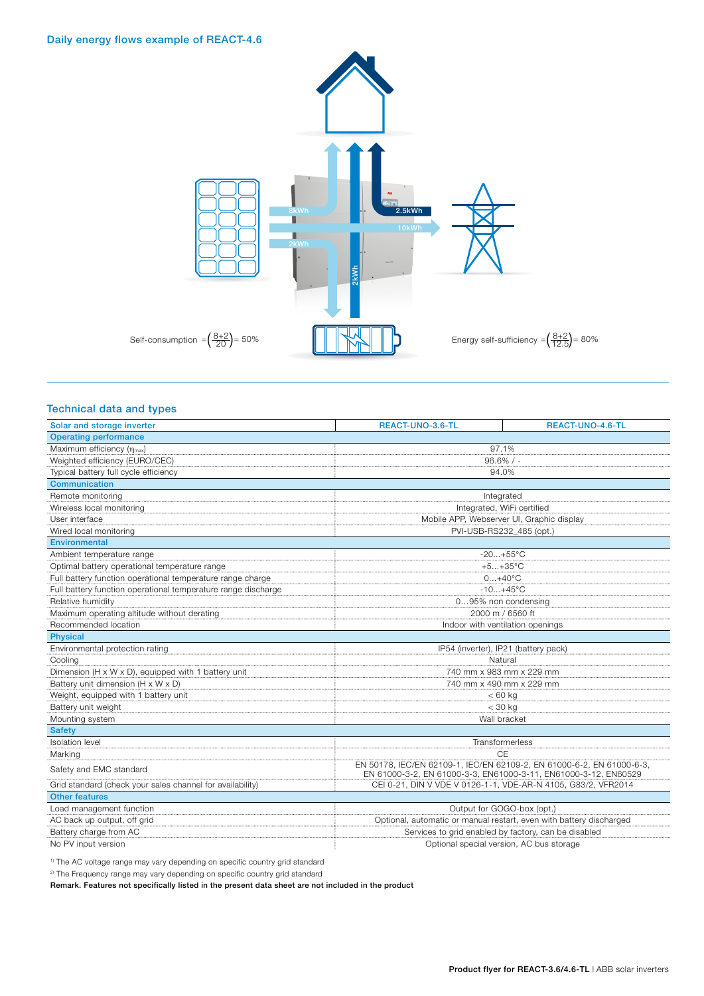### Daily energy flows example of REACT-4.6



### Technical data and types

| Solar and storage inverter                                    | REACT-UNO-3.6-TL                                                                                                                         | REACT-UNO-4.6-TL                                                    |  |
|---------------------------------------------------------------|------------------------------------------------------------------------------------------------------------------------------------------|---------------------------------------------------------------------|--|
| <b>Operating performance</b>                                  |                                                                                                                                          |                                                                     |  |
| Maximum efficiency (nmax)                                     | 97.1%                                                                                                                                    |                                                                     |  |
| Weighted efficiency (EURO/CEC)                                | $96.6\%$ / -                                                                                                                             |                                                                     |  |
| Typical battery full cycle efficiency                         | 94.0%                                                                                                                                    |                                                                     |  |
| Communication                                                 |                                                                                                                                          |                                                                     |  |
| Remote monitoring                                             | Integrated                                                                                                                               |                                                                     |  |
| Wireless local monitoring                                     | Integrated, WiFi certified                                                                                                               |                                                                     |  |
| User interface                                                | Mobile APP, Webserver UI, Graphic display                                                                                                |                                                                     |  |
| Wired local monitoring                                        | PVI-USB-RS232_485 (opt.)                                                                                                                 |                                                                     |  |
| <b>Environmental</b>                                          |                                                                                                                                          |                                                                     |  |
| Ambient temperature range                                     | $-20+55^{\circ}C$                                                                                                                        |                                                                     |  |
| Optimal battery operational temperature range                 | $+5+35^{\circ}C$                                                                                                                         |                                                                     |  |
| Full battery function operational temperature range charge    | $0+40^{\circ}C$                                                                                                                          |                                                                     |  |
| Full battery function operational temperature range discharge | $-10+45^{\circ}C$                                                                                                                        |                                                                     |  |
| Relative humidity                                             | 095% non condensing                                                                                                                      |                                                                     |  |
| Maximum operating altitude without derating                   | 2000 m / 6560 ft                                                                                                                         |                                                                     |  |
| Recommended location                                          | Indoor with ventilation openings                                                                                                         |                                                                     |  |
| <b>Physical</b>                                               |                                                                                                                                          |                                                                     |  |
| Environmental protection rating                               | IP54 (inverter), IP21 (battery pack)                                                                                                     |                                                                     |  |
| Cooling                                                       | Natural                                                                                                                                  |                                                                     |  |
| Dimension (H x W x D), equipped with 1 battery unit           | 740 mm x 983 mm x 229 mm                                                                                                                 |                                                                     |  |
| Battery unit dimension (H x W x D)                            | 740 mm x 490 mm x 229 mm                                                                                                                 |                                                                     |  |
| Weight, equipped with 1 battery unit                          | $< 60$ kg                                                                                                                                |                                                                     |  |
| Battery unit weight                                           | $<$ 30 kg                                                                                                                                |                                                                     |  |
| Mounting system                                               | Wall bracket                                                                                                                             |                                                                     |  |
| <b>Safety</b>                                                 |                                                                                                                                          |                                                                     |  |
| <b>Isolation</b> level                                        | Transformerless                                                                                                                          |                                                                     |  |
| Marking                                                       | CE                                                                                                                                       |                                                                     |  |
| Safety and EMC standard                                       | EN 50178, IEC/EN 62109-1, IEC/EN 62109-2, EN 61000-6-2, EN 61000-6-3,<br>EN 61000-3-2, EN 61000-3-3, EN61000-3-11, EN61000-3-12, EN60529 |                                                                     |  |
| Grid standard (check your sales channel for availability)     | CEI 0-21, DIN V VDE V 0126-1-1, VDE-AR-N 4105, G83/2, VFR2014                                                                            |                                                                     |  |
| <b>Other features</b>                                         |                                                                                                                                          |                                                                     |  |
| Load management function                                      | Output for GOGO-box (opt.)                                                                                                               |                                                                     |  |
| AC back up output, off grid                                   |                                                                                                                                          | Optional, automatic or manual restart, even with battery discharged |  |
| Battery charge from AC                                        | Services to grid enabled by factory, can be disabled                                                                                     |                                                                     |  |
| No PV input version                                           | Optional special version, AC bus storage                                                                                                 |                                                                     |  |

<sup>1)</sup> The AC voltage range may vary depending on specific country grid standard

<sup>2)</sup> The Frequency range may vary depending on specific country grid standard

Remark. Features not specifically listed in the present data sheet are not included in the product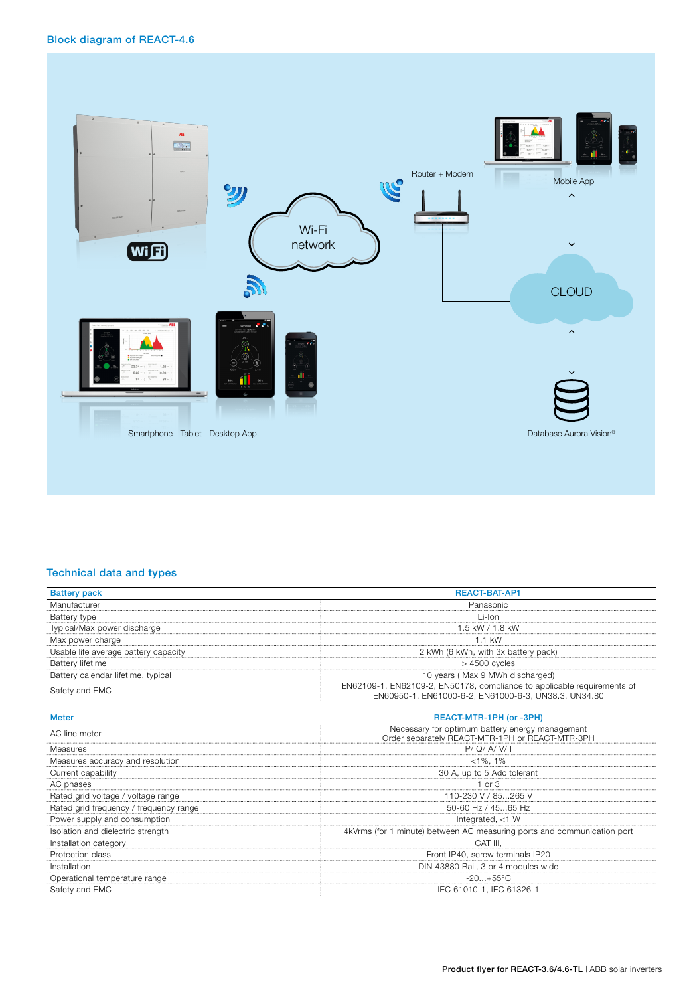Block diagram of REACT-4.6



### Technical data and types

| <b>Battery pack</b>                    | <b>REACT-BAT-AP1</b>                                                                                                            |  |
|----------------------------------------|---------------------------------------------------------------------------------------------------------------------------------|--|
| Manufacturer                           | Panasonic                                                                                                                       |  |
| Battery type                           | Li-Ion                                                                                                                          |  |
| Typical/Max power discharge            | $1.5$ kW / $1.8$ kW                                                                                                             |  |
| Max power charge                       | $1.1$ kW                                                                                                                        |  |
| Usable life average battery capacity   | 2 kWh (6 kWh, with 3x battery pack)                                                                                             |  |
| <b>Battery lifetime</b>                | $>4500$ cycles                                                                                                                  |  |
| Battery calendar lifetime, typical     | 10 years (Max 9 MWh discharged)                                                                                                 |  |
| Safety and EMC                         | EN62109-1, EN62109-2, EN50178, compliance to applicable requirements of<br>EN60950-1, EN61000-6-2, EN61000-6-3, UN38.3, UN34.80 |  |
| <b>Meter</b>                           | REACT-MTR-1PH (or -3PH)                                                                                                         |  |
| AC line meter                          | Necessary for optimum battery energy management<br>Order separately REACT-MTR-1PH or REACT-MTR-3PH                              |  |
| Measures                               | P/Q/A/V/I                                                                                                                       |  |
| Measures accuracy and resolution       | $< 1\%$ , 1%                                                                                                                    |  |
| Current capability                     | 30 A, up to 5 Adc tolerant                                                                                                      |  |
| AC phases                              | $1$ or $3$                                                                                                                      |  |
| Rated grid voltage / voltage range     | 110-230 V / 85265 V                                                                                                             |  |
| Rated grid frequency / frequency range | 50-60 Hz / 4565 Hz                                                                                                              |  |
| Power supply and consumption           | Integrated, $<$ 1 W                                                                                                             |  |
| Isolation and dielectric strength      | 4kVrms (for 1 minute) between AC measuring ports and communication port                                                         |  |
| Installation category                  | CAT III.                                                                                                                        |  |
| Protection class                       | Front IP40, screw terminals IP20                                                                                                |  |
| Installation                           | DIN 43880 Rail, 3 or 4 modules wide                                                                                             |  |
| Operational temperature range          | $-20+55^{\circ}C$                                                                                                               |  |
| Safety and EMC                         | IEC 61010-1. IEC 61326-1                                                                                                        |  |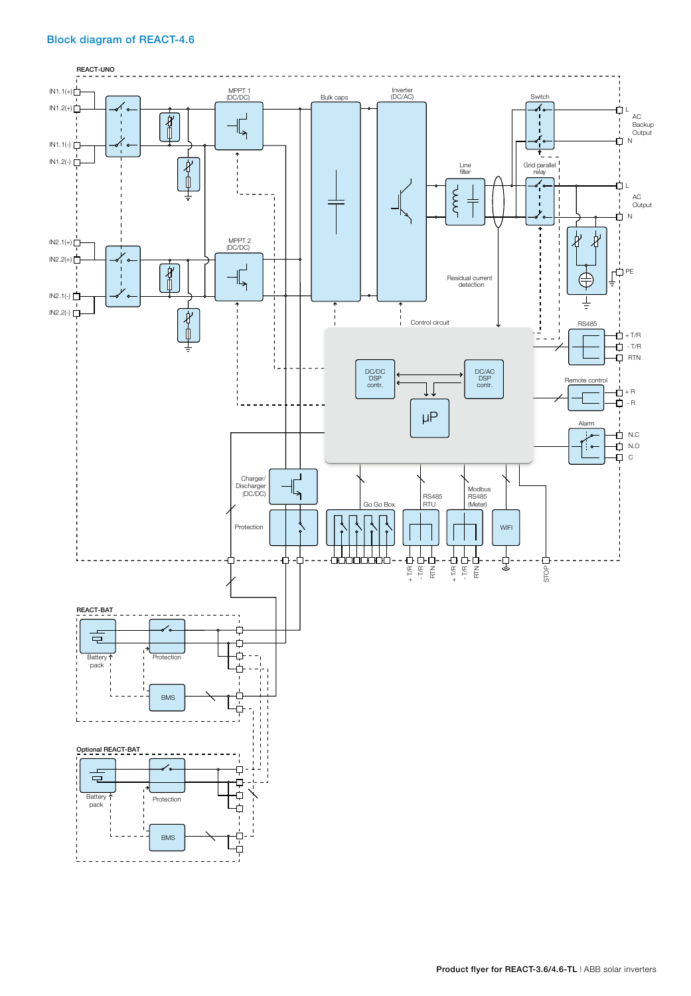